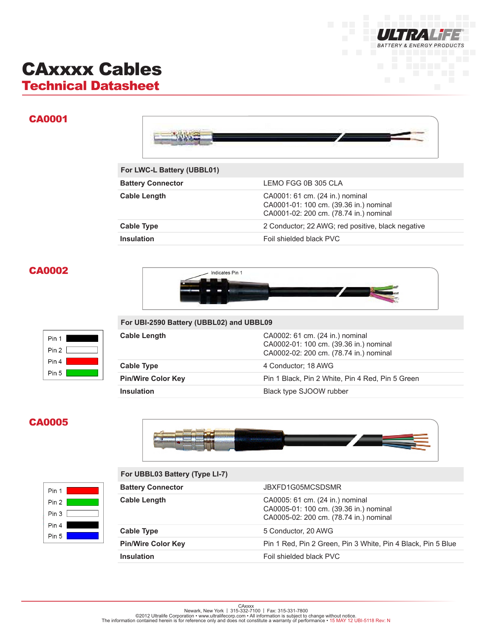

# CAxxxx Cables Technical Datasheet

## CA0001



| For LWC-L Battery (UBBL01) |                                                                                                                     |
|----------------------------|---------------------------------------------------------------------------------------------------------------------|
| <b>Battery Connector</b>   | LEMO FGG 0B 305 CLA                                                                                                 |
| <b>Cable Length</b>        | CA0001: 61 cm. (24 in.) nominal<br>CA0001-01: 100 cm. (39.36 in.) nominal<br>CA0001-02: 200 cm. (78.74 in.) nominal |
| <b>Cable Type</b>          | 2 Conductor; 22 AWG; red positive, black negative                                                                   |
| <b>Insulation</b>          | Foil shielded black PVC                                                                                             |

### CA0002



## $Pin 1$ Pin 2 $[$ Pin 4 Pin 5  $\sqrt{\phantom{a}}$

| For UBI-2590 Battery (UBBL02) and UBBL09 |                                                                                                                     |
|------------------------------------------|---------------------------------------------------------------------------------------------------------------------|
| <b>Cable Length</b>                      | CA0002: 61 cm. (24 in.) nominal<br>CA0002-01: 100 cm. (39.36 in.) nominal<br>CA0002-02: 200 cm. (78.74 in.) nominal |
| <b>Cable Type</b>                        | 4 Conductor: 18 AWG                                                                                                 |
| <b>Pin/Wire Color Key</b>                | Pin 1 Black, Pin 2 White, Pin 4 Red, Pin 5 Green                                                                    |
| <b>Insulation</b>                        | Black type SJOOW rubber                                                                                             |

## CA0005



| Pin 1 |  |
|-------|--|
| Pin 2 |  |
| Pin 3 |  |
| Pin 4 |  |
| Pin 5 |  |

| For UBBL03 Battery (Type LI-7) |  |
|--------------------------------|--|
|--------------------------------|--|

| <b>Battery Connector</b>  | JBXFD1G05MCSDSMR                                                                                                    |
|---------------------------|---------------------------------------------------------------------------------------------------------------------|
| <b>Cable Length</b>       | CA0005: 61 cm. (24 in.) nominal<br>CA0005-01: 100 cm. (39.36 in.) nominal<br>CA0005-02: 200 cm. (78.74 in.) nominal |
| <b>Cable Type</b>         | 5 Conductor, 20 AWG                                                                                                 |
| <b>Pin/Wire Color Key</b> | Pin 1 Red, Pin 2 Green, Pin 3 White, Pin 4 Black, Pin 5 Blue                                                        |
| <b>Insulation</b>         | Foil shielded black PVC                                                                                             |
|                           |                                                                                                                     |